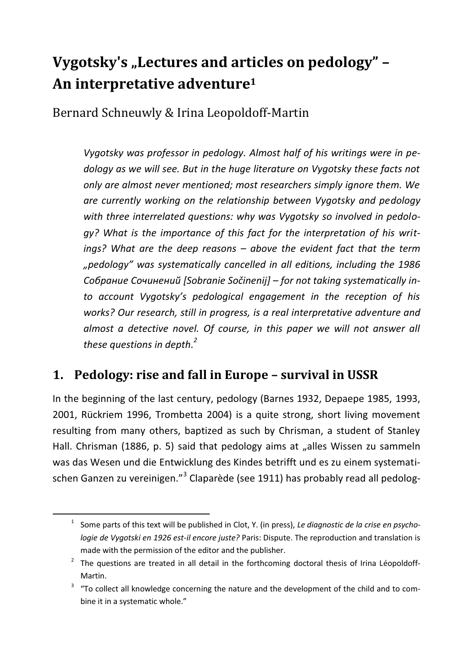# **Vygotsky's "Lectures and articles on pedology" – An interpretative adventure1**

Bernard Schneuwly & Irina Leopoldoff-Martin

*Vygotsky was professor in pedology. Almost half of his writings were in pedology as we will see. But in the huge literature on Vygotsky these facts not only are almost never mentioned; most researchers simply ignore them. We are currently working on the relationship between Vygotsky and pedology with three interrelated questions: why was Vygotsky so involved in pedology? What is the importance of this fact for the interpretation of his writings? What are the deep reasons – above the evident fact that the term "pedology" was systematically cancelled in all editions, including the 1986 Собрание Сочинений [Sobranie Sočinenij] – for not taking systematically into account Vygotsky's pedological engagement in the reception of his works? Our research, still in progress, is a real interpretative adventure and*  almost a detective novel. Of course, in this paper we will not answer all *these questions in depth.2*

### **1. Pedology: rise and fall in Europe – survival in USSR**

In the beginning of the last century, pedology (Barnes 1932, Depaepe 1985, 1993, 2001, Rückriem 1996, Trombetta 2004) is a quite strong, short living movement resulting from many others, baptized as such by Chrisman, a student of Stanley Hall. Chrisman (1886, p. 5) said that pedology aims at "alles Wissen zu sammeln was das Wesen und die Entwicklung des Kindes betrifft und es zu einem systematischen Ganzen zu vereinigen."<sup>3</sup> Claparède (see 1911) has probably read all pedolog-

 $\overline{\phantom{a}}$ <sub>1</sub> <sup>1</sup> Some parts of this text will be published in Clot, Y. (in press), Le diagnostic de la crise en psycho*logie de Vygotski en 1926 est-il encore juste?* Paris: Dispute. The reproduction and translation is made with the permission of the editor and the publisher. 2

 $2$  The questions are treated in all detail in the forthcoming doctoral thesis of Irina Léopoldoff-Martin.

 <sup>&</sup>quot;To collect all knowledge concerning the nature and the development of the child and to combine it in a systematic whole."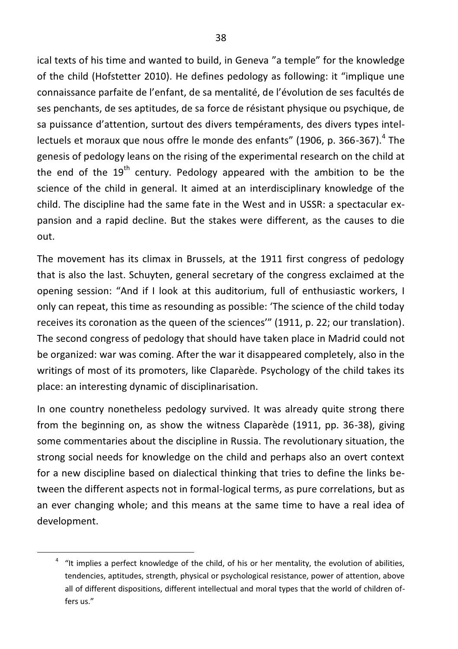ical texts of his time and wanted to build, in Geneva "a temple" for the knowledge of the child (Hofstetter 2010). He defines pedology as following: it "implique une connaissance parfaite de l'enfant, de sa mentalité, de l'évolution de ses facultés de ses penchants, de ses aptitudes, de sa force de résistant physique ou psychique, de sa puissance d'attention, surtout des divers tempéraments, des divers types intellectuels et moraux que nous offre le monde des enfants" (1906, p. 366-367).<sup>4</sup> The genesis of pedology leans on the rising of the experimental research on the child at the end of the  $19<sup>th</sup>$  century. Pedology appeared with the ambition to be the science of the child in general. It aimed at an interdisciplinary knowledge of the child. The discipline had the same fate in the West and in USSR: a spectacular expansion and a rapid decline. But the stakes were different, as the causes to die out.

The movement has its climax in Brussels, at the 1911 first congress of pedology that is also the last. Schuyten, general secretary of the congress exclaimed at the opening session: "And if I look at this auditorium, full of enthusiastic workers, I only can repeat, this time as resounding as possible: 'The science of the child today receives its coronation as the queen of the sciences'" (1911, p. 22; our translation). The second congress of pedology that should have taken place in Madrid could not be organized: war was coming. After the war it disappeared completely, also in the writings of most of its promoters, like Claparède. Psychology of the child takes its place: an interesting dynamic of disciplinarisation.

In one country nonetheless pedology survived. It was already quite strong there from the beginning on, as show the witness Claparède (1911, pp. 36-38), giving some commentaries about the discipline in Russia. The revolutionary situation, the strong social needs for knowledge on the child and perhaps also an overt context for a new discipline based on dialectical thinking that tries to define the links between the different aspects not in formal-logical terms, as pure correlations, but as an ever changing whole; and this means at the same time to have a real idea of development.

 $\overline{4}$  $4$  "It implies a perfect knowledge of the child, of his or her mentality, the evolution of abilities, tendencies, aptitudes, strength, physical or psychological resistance, power of attention, above all of different dispositions, different intellectual and moral types that the world of children offers us."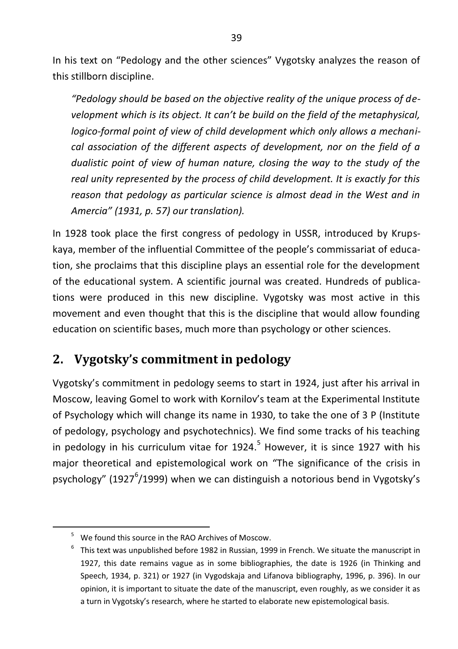In his text on "Pedology and the other sciences" Vygotsky analyzes the reason of this stillborn discipline.

*"Pedology should be based on the objective reality of the unique process of development which is its object. It can't be build on the field of the metaphysical, logico-formal point of view of child development which only allows a mechanical association of the different aspects of development, nor on the field of a dualistic point of view of human nature, closing the way to the study of the real unity represented by the process of child development. It is exactly for this reason that pedology as particular science is almost dead in the West and in Amercia" (1931, p. 57) our translation).* 

In 1928 took place the first congress of pedology in USSR, introduced by Krupskaya, member of the influential Committee of the people's commissariat of education, she proclaims that this discipline plays an essential role for the development of the educational system. A scientific journal was created. Hundreds of publications were produced in this new discipline. Vygotsky was most active in this movement and even thought that this is the discipline that would allow founding education on scientific bases, much more than psychology or other sciences.

# **2. Vygotsky's commitment in pedology**

Vygotsky's commitment in pedology seems to start in 1924, just after his arrival in Moscow, leaving Gomel to work with Kornilov's team at the Experimental Institute of Psychology which will change its name in 1930, to take the one of 3 P (Institute of pedology, psychology and psychotechnics). We find some tracks of his teaching in pedology in his curriculum vitae for 1924.<sup>5</sup> However, it is since 1927 with his major theoretical and epistemological work on "The significance of the crisis in psychology" (1927<sup>6</sup>/1999) when we can distinguish a notorious bend in Vygotsky's

 $\overline{\phantom{0}}$ <sup>5</sup> We found this source in the RAO Archives of Moscow.

 $6$  This text was unpublished before 1982 in Russian, 1999 in French. We situate the manuscript in 1927, this date remains vague as in some bibliographies, the date is 1926 (in Thinking and Speech, 1934, p. 321) or 1927 (in Vygodskaja and Lifanova bibliography, 1996, p. 396). In our opinion, it is important to situate the date of the manuscript, even roughly, as we consider it as a turn in Vygotsky's research, where he started to elaborate new epistemological basis.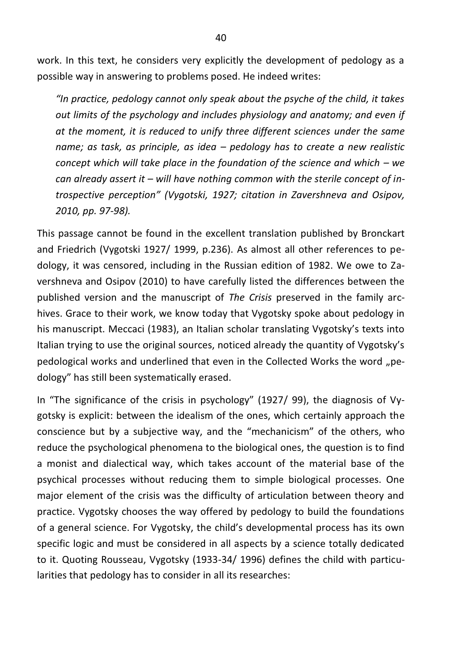work. In this text, he considers very explicitly the development of pedology as a possible way in answering to problems posed. He indeed writes:

*"In practice, pedology cannot only speak about the psyche of the child, it takes out limits of the psychology and includes physiology and anatomy; and even if at the moment, it is reduced to unify three different sciences under the same name; as task, as principle, as idea – pedology has to create a new realistic concept which will take place in the foundation of the science and which – we can already assert it – will have nothing common with the sterile concept of introspective perception" (Vygotski, 1927; citation in Zavershneva and Osipov, 2010, pp. 97-98).* 

This passage cannot be found in the excellent translation published by Bronckart and Friedrich (Vygotski 1927/ 1999, p.236). As almost all other references to pedology, it was censored, including in the Russian edition of 1982. We owe to Zavershneva and Osipov (2010) to have carefully listed the differences between the published version and the manuscript of *The Crisis* preserved in the family archives. Grace to their work, we know today that Vygotsky spoke about pedology in his manuscript. Meccaci (1983), an Italian scholar translating Vygotsky's texts into Italian trying to use the original sources, noticed already the quantity of Vygotsky's pedological works and underlined that even in the Collected Works the word "pedology" has still been systematically erased.

In "The significance of the crisis in psychology" (1927/ 99), the diagnosis of Vygotsky is explicit: between the idealism of the ones, which certainly approach the conscience but by a subjective way, and the "mechanicism" of the others, who reduce the psychological phenomena to the biological ones, the question is to find a monist and dialectical way, which takes account of the material base of the psychical processes without reducing them to simple biological processes. One major element of the crisis was the difficulty of articulation between theory and practice. Vygotsky chooses the way offered by pedology to build the foundations of a general science. For Vygotsky, the child's developmental process has its own specific logic and must be considered in all aspects by a science totally dedicated to it. Quoting Rousseau, Vygotsky (1933-34/ 1996) defines the child with particularities that pedology has to consider in all its researches: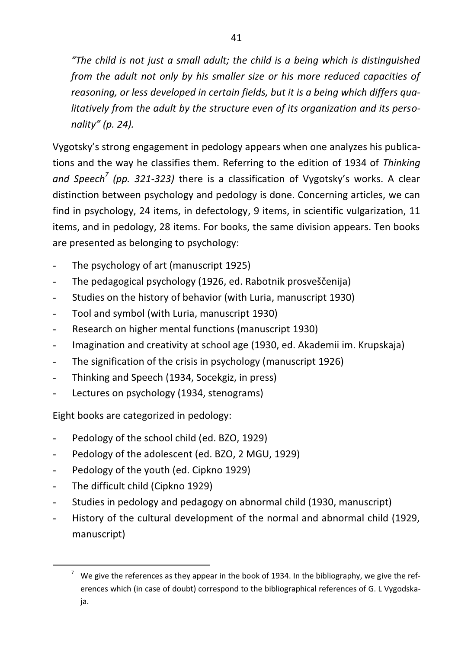*"The child is not just a small adult; the child is a being which is distinguished from the adult not only by his smaller size or his more reduced capacities of reasoning, or less developed in certain fields, but it is a being which differs qualitatively from the adult by the structure even of its organization and its personality" (p. 24).* 

Vygotsky's strong engagement in pedology appears when one analyzes his publications and the way he classifies them. Referring to the edition of 1934 of *Thinking*  and Speech<sup>7</sup> (pp. 321-323) there is a classification of Vygotsky's works. A clear distinction between psychology and pedology is done. Concerning articles, we can find in psychology, 24 items, in defectology, 9 items, in scientific vulgarization, 11 items, and in pedology, 28 items. For books, the same division appears. Ten books are presented as belonging to psychology:

- The psychology of art (manuscript 1925)
- The pedagogical psychology (1926, ed. Rabotnik prosveščenija)
- Studies on the history of behavior (with Luria, manuscript 1930)
- Tool and symbol (with Luria, manuscript 1930)
- Research on higher mental functions (manuscript 1930)
- Imagination and creativity at school age (1930, ed. Akademii im. Krupskaja)
- The signification of the crisis in psychology (manuscript 1926)
- Thinking and Speech (1934, Socekgiz, in press)
- Lectures on psychology (1934, stenograms)

Eight books are categorized in pedology:

- Pedology of the school child (ed. BZO, 1929)
- Pedology of the adolescent (ed. BZO, 2 MGU, 1929)
- Pedology of the youth (ed. Cipkno 1929)
- The difficult child (Cipkno 1929)
- Studies in pedology and pedagogy on abnormal child (1930, manuscript)
- History of the cultural development of the normal and abnormal child (1929, manuscript)

 $\frac{1}{7}$  $\frac{7}{1}$  We give the references as they appear in the book of 1934. In the bibliography, we give the references which (in case of doubt) correspond to the bibliographical references of G. L Vygodskaja.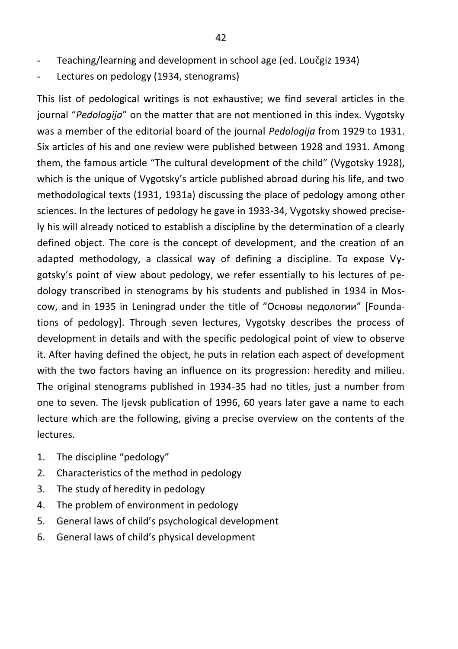- Teaching/learning and development in school age (ed. Loučgiz 1934)
- Lectures on pedology (1934, stenograms)

This list of pedological writings is not exhaustive; we find several articles in the journal "*Pedologija*" on the matter that are not mentioned in this index. Vygotsky was a member of the editorial board of the journal *Pedologija* from 1929 to 1931. Six articles of his and one review were published between 1928 and 1931. Among them, the famous article "The cultural development of the child" (Vygotsky 1928), which is the unique of Vygotsky's article published abroad during his life, and two methodological texts (1931, 1931a) discussing the place of pedology among other sciences. In the lectures of pedology he gave in 1933-34, Vygotsky showed precisely his will already noticed to establish a discipline by the determination of a clearly defined object. The core is the concept of development, and the creation of an adapted methodology, a classical way of defining a discipline. To expose Vygotsky's point of view about pedology, we refer essentially to his lectures of pedology transcribed in stenograms by his students and published in 1934 in Moscow, and in 1935 in Leningrad under the title of "Основы педологии" [Foundations of pedology]. Through seven lectures, Vygotsky describes the process of development in details and with the specific pedological point of view to observe it. After having defined the object, he puts in relation each aspect of development with the two factors having an influence on its progression: heredity and milieu. The original stenograms published in 1934-35 had no titles, just a number from one to seven. The Ijevsk publication of 1996, 60 years later gave a name to each lecture which are the following, giving a precise overview on the contents of the lectures.

- 1. The discipline "pedology"
- 2. Characteristics of the method in pedology
- 3. The study of heredity in pedology
- 4. The problem of environment in pedology
- 5. General laws of child's psychological development
- 6. General laws of child's physical development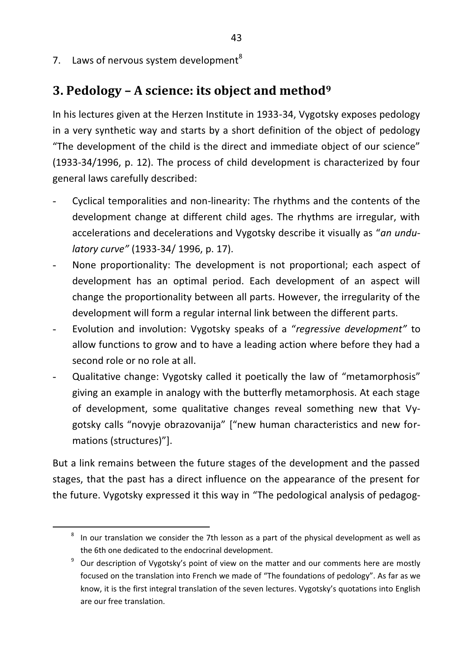7. Laws of nervous system development<sup>8</sup>

### **3. Pedology – A science: its object and method9**

In his lectures given at the Herzen Institute in 1933-34, Vygotsky exposes pedology in a very synthetic way and starts by a short definition of the object of pedology "The development of the child is the direct and immediate object of our science" (1933-34/1996, p. 12). The process of child development is characterized by four general laws carefully described:

- Cyclical temporalities and non-linearity: The rhythms and the contents of the development change at different child ages. The rhythms are irregular, with accelerations and decelerations and Vygotsky describe it visually as "*an undulatory curve"* (1933-34/ 1996, p. 17).
- None proportionality: The development is not proportional; each aspect of development has an optimal period. Each development of an aspect will change the proportionality between all parts. However, the irregularity of the development will form a regular internal link between the different parts.
- Evolution and involution: Vygotsky speaks of a "*regressive development"* to allow functions to grow and to have a leading action where before they had a second role or no role at all.
- Qualitative change: Vygotsky called it poetically the law of "metamorphosis" giving an example in analogy with the butterfly metamorphosis. At each stage of development, some qualitative changes reveal something new that Vygotsky calls "novyje obrazovanija" ["new human characteristics and new formations (structures)"].

But a link remains between the future stages of the development and the passed stages, that the past has a direct influence on the appearance of the present for the future. Vygotsky expressed it this way in "The pedological analysis of pedagog-

 $\overline{\phantom{0}}$  $8$  In our translation we consider the 7th lesson as a part of the physical development as well as the 6th one dedicated to the endocrinal development.

Our description of Vygotsky's point of view on the matter and our comments here are mostly focused on the translation into French we made of "The foundations of pedology". As far as we know, it is the first integral translation of the seven lectures. Vygotsky's quotations into English are our free translation.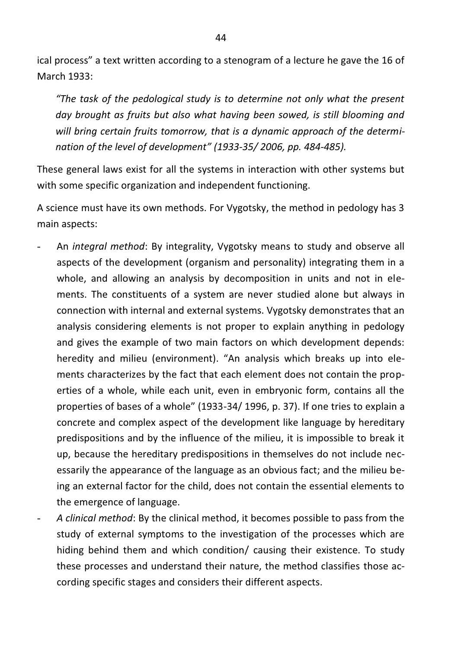ical process" a text written according to a stenogram of a lecture he gave the 16 of March 1933:

*"The task of the pedological study is to determine not only what the present day brought as fruits but also what having been sowed, is still blooming and will bring certain fruits tomorrow, that is a dynamic approach of the determination of the level of development" (1933-35/ 2006, pp. 484-485).* 

These general laws exist for all the systems in interaction with other systems but with some specific organization and independent functioning.

A science must have its own methods. For Vygotsky, the method in pedology has 3 main aspects:

- An *integral method*: By integrality, Vygotsky means to study and observe all aspects of the development (organism and personality) integrating them in a whole, and allowing an analysis by decomposition in units and not in elements. The constituents of a system are never studied alone but always in connection with internal and external systems. Vygotsky demonstrates that an analysis considering elements is not proper to explain anything in pedology and gives the example of two main factors on which development depends: heredity and milieu (environment). "An analysis which breaks up into elements characterizes by the fact that each element does not contain the properties of a whole, while each unit, even in embryonic form, contains all the properties of bases of a whole" (1933-34/ 1996, p. 37). If one tries to explain a concrete and complex aspect of the development like language by hereditary predispositions and by the influence of the milieu, it is impossible to break it up, because the hereditary predispositions in themselves do not include necessarily the appearance of the language as an obvious fact; and the milieu being an external factor for the child, does not contain the essential elements to the emergence of language.
- *A clinical method*: By the clinical method, it becomes possible to pass from the study of external symptoms to the investigation of the processes which are hiding behind them and which condition/ causing their existence. To study these processes and understand their nature, the method classifies those according specific stages and considers their different aspects.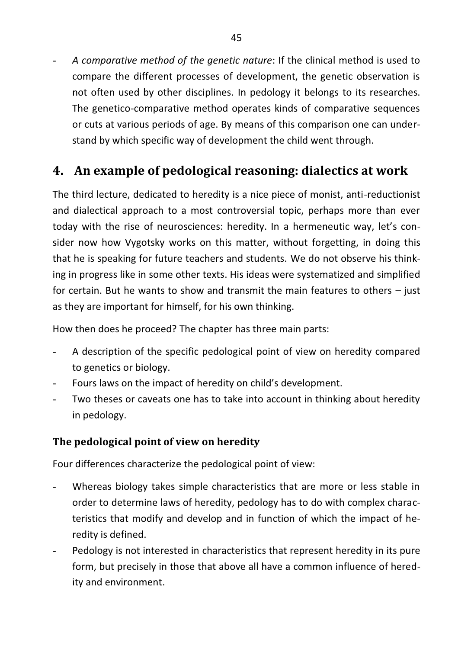- *A comparative method of the genetic nature*: If the clinical method is used to compare the different processes of development, the genetic observation is not often used by other disciplines. In pedology it belongs to its researches. The genetico-comparative method operates kinds of comparative sequences or cuts at various periods of age. By means of this comparison one can understand by which specific way of development the child went through.

# **4. An example of pedological reasoning: dialectics at work**

The third lecture, dedicated to heredity is a nice piece of monist, anti-reductionist and dialectical approach to a most controversial topic, perhaps more than ever today with the rise of neurosciences: heredity. In a hermeneutic way, let's consider now how Vygotsky works on this matter, without forgetting, in doing this that he is speaking for future teachers and students. We do not observe his thinking in progress like in some other texts. His ideas were systematized and simplified for certain. But he wants to show and transmit the main features to others – just as they are important for himself, for his own thinking.

How then does he proceed? The chapter has three main parts:

- A description of the specific pedological point of view on heredity compared to genetics or biology.
- Fours laws on the impact of heredity on child's development.
- Two theses or caveats one has to take into account in thinking about heredity in pedology.

#### **The pedological point of view on heredity**

Four differences characterize the pedological point of view:

- Whereas biology takes simple characteristics that are more or less stable in order to determine laws of heredity, pedology has to do with complex characteristics that modify and develop and in function of which the impact of heredity is defined.
- Pedology is not interested in characteristics that represent heredity in its pure form, but precisely in those that above all have a common influence of heredity and environment.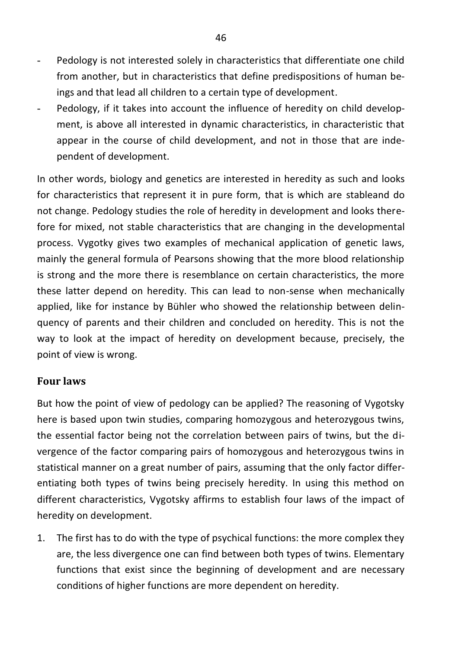- Pedology is not interested solely in characteristics that differentiate one child from another, but in characteristics that define predispositions of human beings and that lead all children to a certain type of development.
- Pedology, if it takes into account the influence of heredity on child development, is above all interested in dynamic characteristics, in characteristic that appear in the course of child development, and not in those that are independent of development.

In other words, biology and genetics are interested in heredity as such and looks for characteristics that represent it in pure form, that is which are stableand do not change. Pedology studies the role of heredity in development and looks therefore for mixed, not stable characteristics that are changing in the developmental process. Vygotky gives two examples of mechanical application of genetic laws, mainly the general formula of Pearsons showing that the more blood relationship is strong and the more there is resemblance on certain characteristics, the more these latter depend on heredity. This can lead to non-sense when mechanically applied, like for instance by Bühler who showed the relationship between delinquency of parents and their children and concluded on heredity. This is not the way to look at the impact of heredity on development because, precisely, the point of view is wrong.

#### **Four laws**

But how the point of view of pedology can be applied? The reasoning of Vygotsky here is based upon twin studies, comparing homozygous and heterozygous twins, the essential factor being not the correlation between pairs of twins, but the divergence of the factor comparing pairs of homozygous and heterozygous twins in statistical manner on a great number of pairs, assuming that the only factor differentiating both types of twins being precisely heredity. In using this method on different characteristics, Vygotsky affirms to establish four laws of the impact of heredity on development.

1. The first has to do with the type of psychical functions: the more complex they are, the less divergence one can find between both types of twins. Elementary functions that exist since the beginning of development and are necessary conditions of higher functions are more dependent on heredity.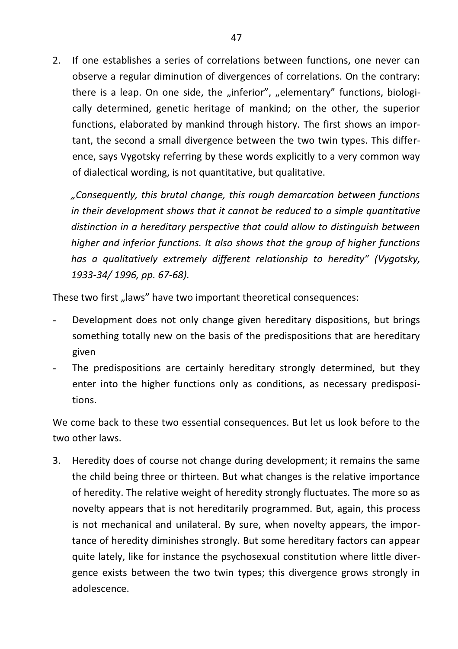2. If one establishes a series of correlations between functions, one never can observe a regular diminution of divergences of correlations. On the contrary: there is a leap. On one side, the "inferior", "elementary" functions, biologically determined, genetic heritage of mankind; on the other, the superior functions, elaborated by mankind through history. The first shows an important, the second a small divergence between the two twin types. This difference, says Vygotsky referring by these words explicitly to a very common way of dialectical wording, is not quantitative, but qualitative.

*"Consequently, this brutal change, this rough demarcation between functions in their development shows that it cannot be reduced to a simple quantitative distinction in a hereditary perspective that could allow to distinguish between higher and inferior functions. It also shows that the group of higher functions has a qualitatively extremely different relationship to heredity" (Vygotsky, 1933-34/ 1996, pp. 67-68).* 

These two first "laws" have two important theoretical consequences:

- Development does not only change given hereditary dispositions, but brings something totally new on the basis of the predispositions that are hereditary given
- The predispositions are certainly hereditary strongly determined, but they enter into the higher functions only as conditions, as necessary predispositions.

We come back to these two essential consequences. But let us look before to the two other laws.

3. Heredity does of course not change during development; it remains the same the child being three or thirteen. But what changes is the relative importance of heredity. The relative weight of heredity strongly fluctuates. The more so as novelty appears that is not hereditarily programmed. But, again, this process is not mechanical and unilateral. By sure, when novelty appears, the importance of heredity diminishes strongly. But some hereditary factors can appear quite lately, like for instance the psychosexual constitution where little divergence exists between the two twin types; this divergence grows strongly in adolescence.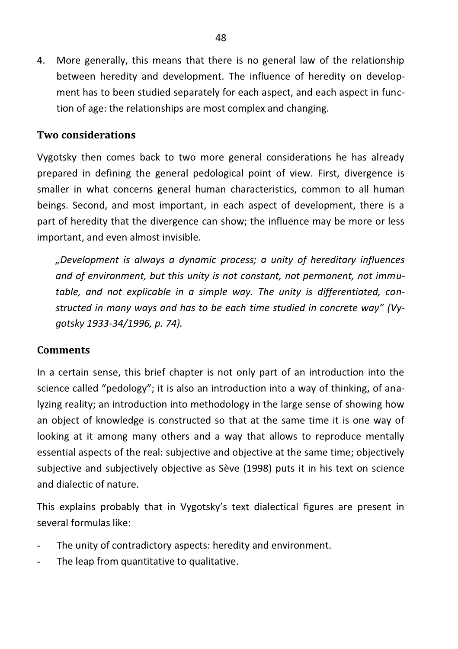4. More generally, this means that there is no general law of the relationship between heredity and development. The influence of heredity on development has to been studied separately for each aspect, and each aspect in function of age: the relationships are most complex and changing.

#### **Two considerations**

Vygotsky then comes back to two more general considerations he has already prepared in defining the general pedological point of view. First, divergence is smaller in what concerns general human characteristics, common to all human beings. Second, and most important, in each aspect of development, there is a part of heredity that the divergence can show; the influence may be more or less important, and even almost invisible.

*"Development is always a dynamic process; a unity of hereditary influences and of environment, but this unity is not constant, not permanent, not immutable, and not explicable in a simple way. The unity is differentiated, constructed in many ways and has to be each time studied in concrete way" (Vygotsky 1933-34/1996, p. 74).* 

#### **Comments**

In a certain sense, this brief chapter is not only part of an introduction into the science called "pedology"; it is also an introduction into a way of thinking, of analyzing reality; an introduction into methodology in the large sense of showing how an object of knowledge is constructed so that at the same time it is one way of looking at it among many others and a way that allows to reproduce mentally essential aspects of the real: subjective and objective at the same time; objectively subjective and subjectively objective as Sève (1998) puts it in his text on science and dialectic of nature.

This explains probably that in Vygotsky's text dialectical figures are present in several formulas like:

- The unity of contradictory aspects: heredity and environment.
- The leap from quantitative to qualitative.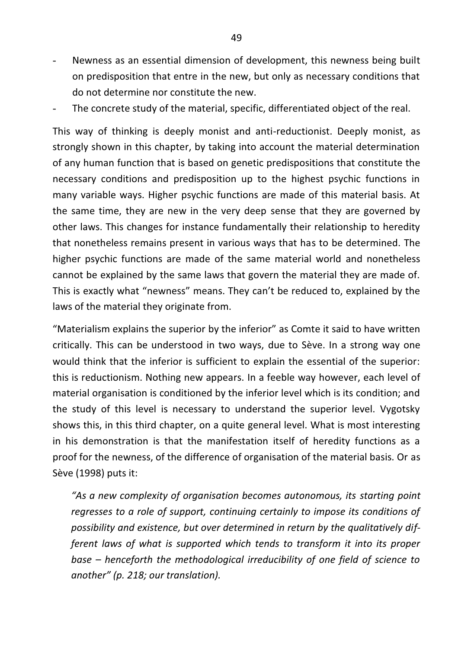- Newness as an essential dimension of development, this newness being built on predisposition that entre in the new, but only as necessary conditions that do not determine nor constitute the new.
- The concrete study of the material, specific, differentiated object of the real.

This way of thinking is deeply monist and anti-reductionist. Deeply monist, as strongly shown in this chapter, by taking into account the material determination of any human function that is based on genetic predispositions that constitute the necessary conditions and predisposition up to the highest psychic functions in many variable ways. Higher psychic functions are made of this material basis. At the same time, they are new in the very deep sense that they are governed by other laws. This changes for instance fundamentally their relationship to heredity that nonetheless remains present in various ways that has to be determined. The higher psychic functions are made of the same material world and nonetheless cannot be explained by the same laws that govern the material they are made of. This is exactly what "newness" means. They can't be reduced to, explained by the laws of the material they originate from.

"Materialism explains the superior by the inferior" as Comte it said to have written critically. This can be understood in two ways, due to Sève. In a strong way one would think that the inferior is sufficient to explain the essential of the superior: this is reductionism. Nothing new appears. In a feeble way however, each level of material organisation is conditioned by the inferior level which is its condition; and the study of this level is necessary to understand the superior level. Vygotsky shows this, in this third chapter, on a quite general level. What is most interesting in his demonstration is that the manifestation itself of heredity functions as a proof for the newness, of the difference of organisation of the material basis. Or as Sève (1998) puts it:

*"As a new complexity of organisation becomes autonomous, its starting point regresses to a role of support, continuing certainly to impose its conditions of possibility and existence, but over determined in return by the qualitatively different laws of what is supported which tends to transform it into its proper base – henceforth the methodological irreducibility of one field of science to another" (p. 218; our translation).*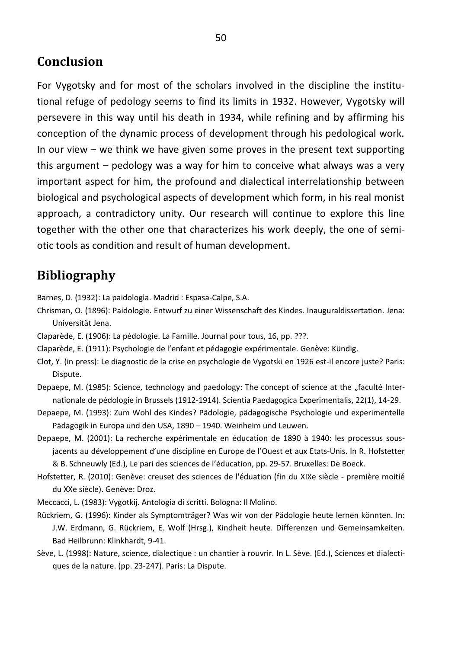### **Conclusion**

For Vygotsky and for most of the scholars involved in the discipline the institutional refuge of pedology seems to find its limits in 1932. However, Vygotsky will persevere in this way until his death in 1934, while refining and by affirming his conception of the dynamic process of development through his pedological work. In our view – we think we have given some proves in the present text supporting this argument – pedology was a way for him to conceive what always was a very important aspect for him, the profound and dialectical interrelationship between biological and psychological aspects of development which form, in his real monist approach, a contradictory unity. Our research will continue to explore this line together with the other one that characterizes his work deeply, the one of semiotic tools as condition and result of human development.

### **Bibliography**

Barnes, D. (1932): La paidologìa. Madrid : Espasa-Calpe, S.A.

- Chrisman, O. (1896): Paidologie. Entwurf zu einer Wissenschaft des Kindes. Inauguraldissertation. Jena: Universität Jena.
- Claparède, E. (1906): La pédologie. La Famille. Journal pour tous, 16, pp. ???.
- Claparède, E. (1911): Psychologie de l'enfant et pédagogie expérimentale. Genève: Kündig.
- Clot, Y. (in press): Le diagnostic de la crise en psychologie de Vygotski en 1926 est-il encore juste? Paris: Dispute.
- Depaepe, M. (1985): Science, technology and paedology: The concept of science at the "faculté Internationale de pédologie in Brussels (1912-1914). Scientia Paedagogica Experimentalis, 22(1), 14-29.
- Depaepe, M. (1993): Zum Wohl des Kindes? Pädologie, pädagogische Psychologie und experimentelle Pädagogik in Europa und den USA, 1890 – 1940. Weinheim und Leuwen.
- Depaepe, M. (2001): La recherche expérimentale en éducation de 1890 à 1940: les processus sousjacents au développement d'une discipline en Europe de l'Ouest et aux Etats-Unis. In R. Hofstetter & B. Schneuwly (Ed.), Le pari des sciences de l'éducation, pp. 29-57. Bruxelles: De Boeck.
- Hofstetter, R. (2010): Genève: creuset des sciences de l'éduation (fin du XIXe siècle première moitié du XXe siècle). Genève: Droz.
- Meccacci, L. (1983): Vygotkij. Antologia di scritti. Bologna: Il Molino.
- Rückriem, G. (1996): Kinder als Symptomträger? Was wir von der Pädologie heute lernen könnten. In: J.W. Erdmann, G. Rückriem, E. Wolf (Hrsg.), Kindheit heute. Differenzen und Gemeinsamkeiten. Bad Heilbrunn: Klinkhardt, 9-41.
- Sève, L. (1998): Nature, science, dialectique : un chantier à rouvrir. In L. Sève. (Ed.), Sciences et dialectiques de la nature. (pp. 23-247). Paris: La Dispute.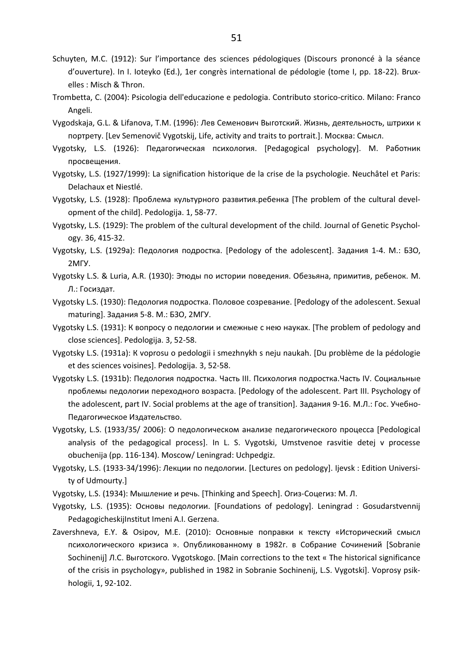- Schuyten, M.C. (1912): Sur l'importance des sciences pédologiques (Discours prononcé à la séance d'ouverture). In I. Ioteyko (Ed.), 1er congrès international de pédologie (tome I, pp. 18-22). Bruxelles : Misch & Thron.
- Trombetta, C. (2004): Psicologia dell'educazione e pedologia. Contributo storico-critico. Milano: Franco Angeli.
- Vygodskaja, G.L. & Lifanova, T.M. (1996): Лев Семенович Выготский. Жизнь, деятельность, штрихи к портрету. [Lev Semenovič Vygotskij, Life, activity and traits to portrait.]. Москва: Смысл.
- Vygotsky, L.S. (1926): Педагогическая психология. [Pedagogical psychology]. М. Работник просвещения.
- Vygotsky, L.S. (1927/1999): La signification historique de la crise de la psychologie. Neuchâtel et Paris: Delachaux et Niestlé.
- Vygotsky, L.S. (1928): Проблема культурного развития.ребенка [The problem of the cultural development of the child]. Pedologija. 1, 58-77.
- Vygotsky, L.S. (1929): The problem of the cultural development of the child. Journal of Genetic Psychology. 36, 415-32.
- Vygotsky, L.S. (1929a): Педология подростка. [Pedology of the adolescent]. Задания 1-4. М.: БЗО, 2МГУ.
- Vygotsky L.S. & Luria, A.R. (1930): Этюды по истории поведения. Обезьяна, примитив, ребенок. М. Л.: Госиздат.
- Vygotsky L.S. (1930): Педология подростка. Половое созревание. [Pedology of the adolescent. Sexual maturing]. Задания 5-8. М.: БЗО, 2МГУ.
- Vygotsky L.S. (1931): К вопросу о педологии и смежныe с нею науках. [The problem of pedology and close sciences]. Pedologija. 3, 52-58.
- Vygotsky L.S. (1931a): К voprosu о pedologii i smezhnykh s neju naukah. [Du problème de la pédologie et des sciences voisines]. Pedologija. 3, 52-58.
- Vygotsky L.S. (1931b): Педология подростка. Часть III. Психология подростка.Часть IV. Социальные проблемы педологии переходного возраста. [Pedology of the adolescent. Part III. Psychology of the adolescent, part IV. Social problems at the age of transition]. Задания 9-16. М.Л.: Гос. Учебно-Педагогическое Издательство.
- Vygotsky, L.S. (1933/35/ 2006): О педологическом анализе педагогического процесса [Pedological analysis of the pedagogical process]. In L. S. Vygotski, Umstvenoe rasvitie detej v processe obuchenija (pp. 116-134). Moscow/ Leningrad: Uchpedgiz.
- Vygotsky, L.S. (1933-34/1996): Лекции по педологии. [Lectures on pedology]. Ijevsk : Edition University of Udmourty.]
- Vygotsky, L.S. (1934): Мышление и речь. [Thinking and Speech]. Огиз-Соцегиз: М. Л.
- Vygotsky, L.S. (1935): Основы педологии. [Foundations of pedology]. Leningrad : Gosudarstvennij PedagogicheskijInstitut Imeni A.I. Gerzena.
- Zavershneva, E.Y. & Osipov, M.E. (2010): Oсновные поправки к тексту «Исторический смысл психологического кризиса ». Опубликованному в 1982г. в Cобрание Cочинений [Sobranie Sochinenij] Л.С. Выготского. Vygotskogo. [Main corrections to the text « The historical significance of the crisis in psychology», published in 1982 in Sobranie Sochinenij, L.S. Vygotski]. Voprosy psikhologii, 1, 92-102.